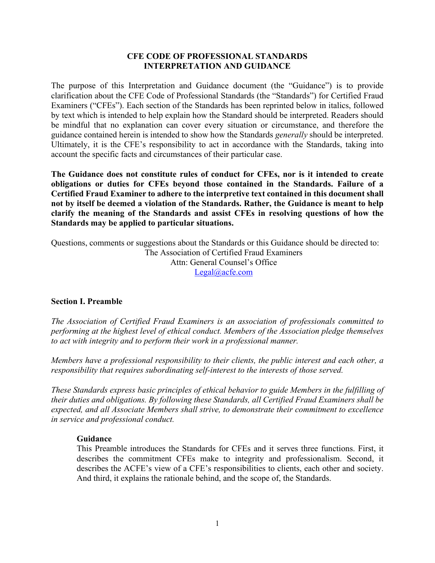### **CFE CODE OF PROFESSIONAL STANDARDS INTERPRETATION AND GUIDANCE**

The purpose of this Interpretation and Guidance document (the "Guidance") is to provide clarification about the CFE Code of Professional Standards (the "Standards") for Certified Fraud Examiners ("CFEs"). Each section of the Standards has been reprinted below in italics, followed by text which is intended to help explain how the Standard should be interpreted. Readers should be mindful that no explanation can cover every situation or circumstance, and therefore the guidance contained herein is intended to show how the Standards *generally* should be interpreted. Ultimately, it is the CFE's responsibility to act in accordance with the Standards, taking into account the specific facts and circumstances of their particular case.

**The Guidance does not constitute rules of conduct for CFEs, nor is it intended to create obligations or duties for CFEs beyond those contained in the Standards. Failure of a Certified Fraud Examiner to adhere to the interpretive text contained in this document shall not by itself be deemed a violation of the Standards. Rather, the Guidance is meant to help clarify the meaning of the Standards and assist CFEs in resolving questions of how the Standards may be applied to particular situations.**

Questions, comments or suggestions about the Standards or this Guidance should be directed to: The Association of Certified Fraud Examiners Attn: General Counsel's Office [Legal@acfe.com](mailto:Legal@acfe.com)

### **Section I. Preamble**

*The Association of Certified Fraud Examiners is an association of professionals committed to performing at the highest level of ethical conduct. Members of the Association pledge themselves to act with integrity and to perform their work in a professional manner.*

*Members have a professional responsibility to their clients, the public interest and each other, a responsibility that requires subordinating self-interest to the interests of those served.*

*These Standards express basic principles of ethical behavior to guide Members in the fulfilling of their duties and obligations. By following these Standards, all Certified Fraud Examiners shall be expected, and all Associate Members shall strive, to demonstrate their commitment to excellence in service and professional conduct.*

#### **Guidance**

This Preamble introduces the Standards for CFEs and it serves three functions. First, it describes the commitment CFEs make to integrity and professionalism. Second, it describes the ACFE's view of a CFE's responsibilities to clients, each other and society. And third, it explains the rationale behind, and the scope of, the Standards.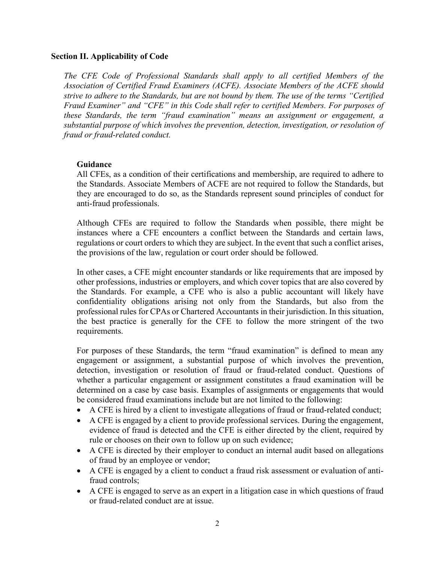### **Section II. Applicability of Code**

*The CFE Code of Professional Standards shall apply to all certified Members of the Association of Certified Fraud Examiners (ACFE). Associate Members of the ACFE should strive to adhere to the Standards, but are not bound by them. The use of the terms "Certified Fraud Examiner" and "CFE" in this Code shall refer to certified Members. For purposes of these Standards, the term "fraud examination" means an assignment or engagement, a substantial purpose of which involves the prevention, detection, investigation, or resolution of fraud or fraud-related conduct.*

# **Guidance**

All CFEs, as a condition of their certifications and membership, are required to adhere to the Standards. Associate Members of ACFE are not required to follow the Standards, but they are encouraged to do so, as the Standards represent sound principles of conduct for anti-fraud professionals.

Although CFEs are required to follow the Standards when possible, there might be instances where a CFE encounters a conflict between the Standards and certain laws, regulations or court orders to which they are subject. In the event that such a conflict arises, the provisions of the law, regulation or court order should be followed.

In other cases, a CFE might encounter standards or like requirements that are imposed by other professions, industries or employers, and which cover topics that are also covered by the Standards. For example, a CFE who is also a public accountant will likely have confidentiality obligations arising not only from the Standards, but also from the professional rules for CPAs or Chartered Accountants in their jurisdiction. In this situation, the best practice is generally for the CFE to follow the more stringent of the two requirements.

For purposes of these Standards, the term "fraud examination" is defined to mean any engagement or assignment, a substantial purpose of which involves the prevention, detection, investigation or resolution of fraud or fraud-related conduct. Questions of whether a particular engagement or assignment constitutes a fraud examination will be determined on a case by case basis. Examples of assignments or engagements that would be considered fraud examinations include but are not limited to the following:

- A CFE is hired by a client to investigate allegations of fraud or fraud-related conduct;
- A CFE is engaged by a client to provide professional services. During the engagement, evidence of fraud is detected and the CFE is either directed by the client, required by rule or chooses on their own to follow up on such evidence;
- A CFE is directed by their employer to conduct an internal audit based on allegations of fraud by an employee or vendor;
- A CFE is engaged by a client to conduct a fraud risk assessment or evaluation of antifraud controls;
- A CFE is engaged to serve as an expert in a litigation case in which questions of fraud or fraud-related conduct are at issue.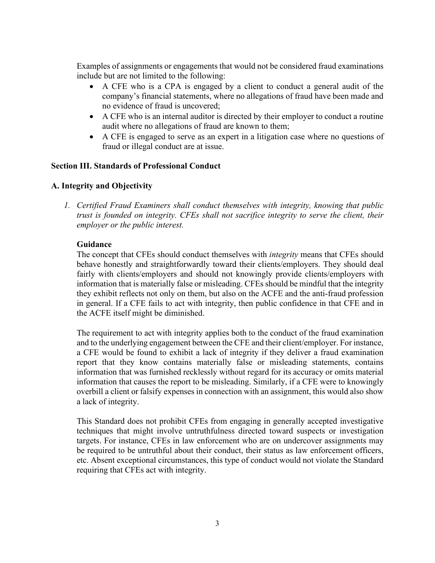Examples of assignments or engagements that would not be considered fraud examinations include but are not limited to the following:

- A CFE who is a CPA is engaged by a client to conduct a general audit of the company's financial statements, where no allegations of fraud have been made and no evidence of fraud is uncovered;
- A CFE who is an internal auditor is directed by their employer to conduct a routine audit where no allegations of fraud are known to them;
- A CFE is engaged to serve as an expert in a litigation case where no questions of fraud or illegal conduct are at issue.

### **Section III. Standards of Professional Conduct**

### **A. Integrity and Objectivity**

*1. Certified Fraud Examiners shall conduct themselves with integrity, knowing that public trust is founded on integrity. CFEs shall not sacrifice integrity to serve the client, their employer or the public interest.*

### **Guidance**

The concept that CFEs should conduct themselves with *integrity* means that CFEs should behave honestly and straightforwardly toward their clients/employers. They should deal fairly with clients/employers and should not knowingly provide clients/employers with information that is materially false or misleading. CFEs should be mindful that the integrity they exhibit reflects not only on them, but also on the ACFE and the anti-fraud profession in general. If a CFE fails to act with integrity, then public confidence in that CFE and in the ACFE itself might be diminished.

The requirement to act with integrity applies both to the conduct of the fraud examination and to the underlying engagement between the CFE and their client/employer. For instance, a CFE would be found to exhibit a lack of integrity if they deliver a fraud examination report that they know contains materially false or misleading statements, contains information that was furnished recklessly without regard for its accuracy or omits material information that causes the report to be misleading. Similarly, if a CFE were to knowingly overbill a client or falsify expenses in connection with an assignment, this would also show a lack of integrity.

This Standard does not prohibit CFEs from engaging in generally accepted investigative techniques that might involve untruthfulness directed toward suspects or investigation targets. For instance, CFEs in law enforcement who are on undercover assignments may be required to be untruthful about their conduct, their status as law enforcement officers, etc. Absent exceptional circumstances, this type of conduct would not violate the Standard requiring that CFEs act with integrity.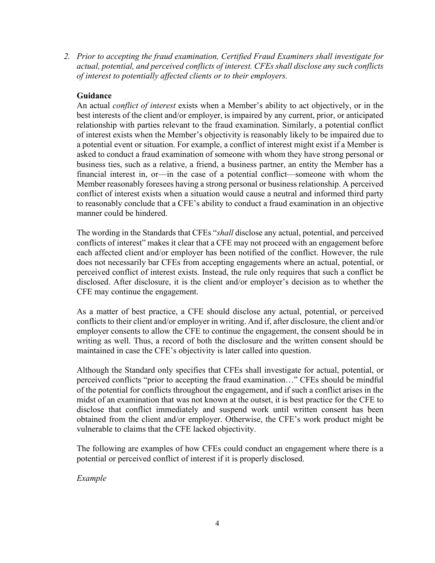*2. Prior to accepting the fraud examination, Certified Fraud Examiners shall investigate for actual, potential, and perceived conflicts of interest. CFEs shall disclose any such conflicts of interest to potentially affected clients or to their employers.*

### **Guidance**

An actual *conflict of interest* exists when a Member's ability to act objectively, or in the best interests of the client and/or employer, is impaired by any current, prior, or anticipated relationship with parties relevant to the fraud examination. Similarly, a potential conflict of interest exists when the Member's objectivity is reasonably likely to be impaired due to a potential event or situation. For example, a conflict of interest might exist if a Member is asked to conduct a fraud examination of someone with whom they have strong personal or business ties, such as a relative, a friend, a business partner, an entity the Member has a financial interest in, or—in the case of a potential conflict—someone with whom the Member reasonably foresees having a strong personal or business relationship. A perceived conflict of interest exists when a situation would cause a neutral and informed third party to reasonably conclude that a CFE's ability to conduct a fraud examination in an objective manner could be hindered.

The wording in the Standards that CFEs "*shall* disclose any actual, potential, and perceived conflicts of interest" makes it clear that a CFE may not proceed with an engagement before each affected client and/or employer has been notified of the conflict. However, the rule does not necessarily bar CFEs from accepting engagements where an actual, potential, or perceived conflict of interest exists. Instead, the rule only requires that such a conflict be disclosed. After disclosure, it is the client and/or employer's decision as to whether the CFE may continue the engagement.

As a matter of best practice, a CFE should disclose any actual, potential, or perceived conflicts to their client and/or employer in writing. And if, after disclosure, the client and/or employer consents to allow the CFE to continue the engagement, the consent should be in writing as well. Thus, a record of both the disclosure and the written consent should be maintained in case the CFE's objectivity is later called into question.

Although the Standard only specifies that CFEs shall investigate for actual, potential, or perceived conflicts "prior to accepting the fraud examination…" CFEs should be mindful of the potential for conflicts throughout the engagement, and if such a conflict arises in the midst of an examination that was not known at the outset, it is best practice for the CFE to disclose that conflict immediately and suspend work until written consent has been obtained from the client and/or employer. Otherwise, the CFE's work product might be vulnerable to claims that the CFE lacked objectivity.

The following are examples of how CFEs could conduct an engagement where there is a potential or perceived conflict of interest if it is properly disclosed.

*Example*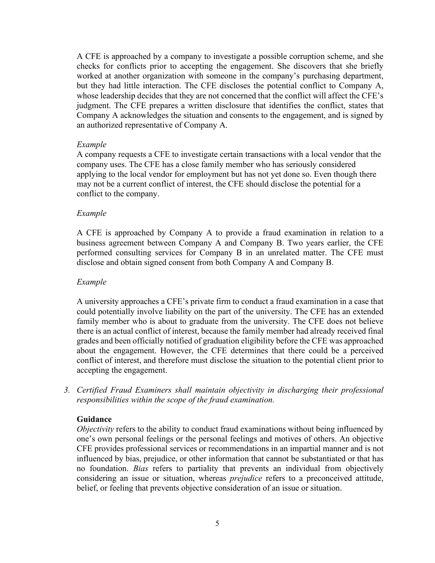A CFE is approached by a company to investigate a possible corruption scheme, and she checks for conflicts prior to accepting the engagement. She discovers that she briefly worked at another organization with someone in the company's purchasing department, but they had little interaction. The CFE discloses the potential conflict to Company A, whose leadership decides that they are not concerned that the conflict will affect the CFE's judgment. The CFE prepares a written disclosure that identifies the conflict, states that Company A acknowledges the situation and consents to the engagement, and is signed by an authorized representative of Company A.

#### *Example*

A company requests a CFE to investigate certain transactions with a local vendor that the company uses. The CFE has a close family member who has seriously considered applying to the local vendor for employment but has not yet done so. Even though there may not be a current conflict of interest, the CFE should disclose the potential for a conflict to the company.

#### *Example*

A CFE is approached by Company A to provide a fraud examination in relation to a business agreement between Company A and Company B. Two years earlier, the CFE performed consulting services for Company B in an unrelated matter. The CFE must disclose and obtain signed consent from both Company A and Company B.

#### *Example*

A university approaches a CFE's private firm to conduct a fraud examination in a case that could potentially involve liability on the part of the university. The CFE has an extended family member who is about to graduate from the university. The CFE does not believe there is an actual conflict of interest, because the family member had already received final grades and been officially notified of graduation eligibility before the CFE was approached about the engagement. However, the CFE determines that there could be a perceived conflict of interest, and therefore must disclose the situation to the potential client prior to accepting the engagement.

*3. Certified Fraud Examiners shall maintain objectivity in discharging their professional responsibilities within the scope of the fraud examination.*

#### **Guidance**

*Objectivity* refers to the ability to conduct fraud examinations without being influenced by one's own personal feelings or the personal feelings and motives of others. An objective CFE provides professional services or recommendations in an impartial manner and is not influenced by bias, prejudice, or other information that cannot be substantiated or that has no foundation. *Bias* refers to partiality that prevents an individual from objectively considering an issue or situation, whereas *prejudice* refers to a preconceived attitude, belief, or feeling that prevents objective consideration of an issue or situation.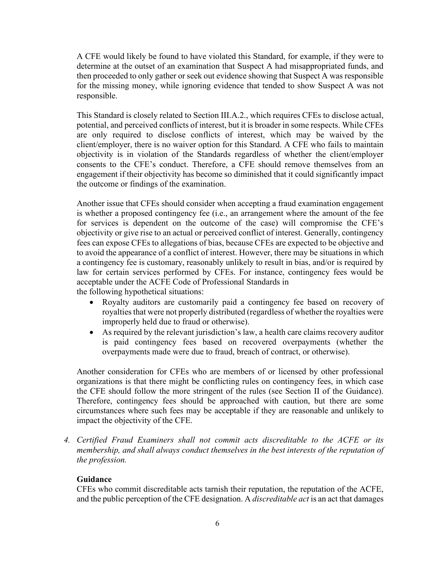A CFE would likely be found to have violated this Standard, for example, if they were to determine at the outset of an examination that Suspect A had misappropriated funds, and then proceeded to only gather or seek out evidence showing that Suspect A was responsible for the missing money, while ignoring evidence that tended to show Suspect A was not responsible.

This Standard is closely related to Section III.A.2., which requires CFEs to disclose actual, potential, and perceived conflicts of interest, but it is broader in some respects. While CFEs are only required to disclose conflicts of interest, which may be waived by the client/employer, there is no waiver option for this Standard. A CFE who fails to maintain objectivity is in violation of the Standards regardless of whether the client/employer consents to the CFE's conduct. Therefore, a CFE should remove themselves from an engagement if their objectivity has become so diminished that it could significantly impact the outcome or findings of the examination.

Another issue that CFEs should consider when accepting a fraud examination engagement is whether a proposed contingency fee (i.e., an arrangement where the amount of the fee for services is dependent on the outcome of the case) will compromise the CFE's objectivity or give rise to an actual or perceived conflict of interest. Generally, contingency fees can expose CFEs to allegations of bias, because CFEs are expected to be objective and to avoid the appearance of a conflict of interest. However, there may be situations in which a contingency fee is customary, reasonably unlikely to result in bias, and/or is required by law for certain services performed by CFEs. For instance, contingency fees would be acceptable under the ACFE Code of Professional Standards in the following hypothetical situations:

- Royalty auditors are customarily paid a contingency fee based on recovery of royalties that were not properly distributed (regardless of whether the royalties were improperly held due to fraud or otherwise).
- As required by the relevant jurisdiction's law, a health care claims recovery auditor is paid contingency fees based on recovered overpayments (whether the overpayments made were due to fraud, breach of contract, or otherwise).

Another consideration for CFEs who are members of or licensed by other professional organizations is that there might be conflicting rules on contingency fees, in which case the CFE should follow the more stringent of the rules (see Section II of the Guidance). Therefore, contingency fees should be approached with caution, but there are some circumstances where such fees may be acceptable if they are reasonable and unlikely to impact the objectivity of the CFE.

*4. Certified Fraud Examiners shall not commit acts discreditable to the ACFE or its membership, and shall always conduct themselves in the best interests of the reputation of the profession.*

# **Guidance**

CFEs who commit discreditable acts tarnish their reputation, the reputation of the ACFE, and the public perception of the CFE designation. A *discreditable act* is an act that damages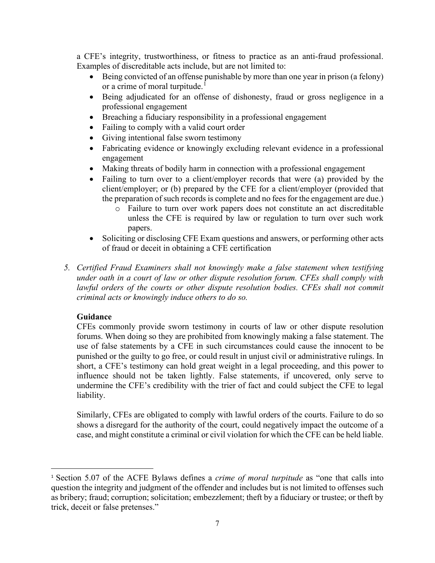a CFE's integrity, trustworthiness, or fitness to practice as an anti-fraud professional. Examples of discreditable acts include, but are not limited to:

- Being convicted of an offense punishable by more than one year in prison (a felony) or a crime of moral turpitude.<sup>[1](#page-6-0)</sup>
- Being adjudicated for an offense of dishonesty, fraud or gross negligence in a professional engagement
- Breaching a fiduciary responsibility in a professional engagement
- Failing to comply with a valid court order
- Giving intentional false sworn testimony
- Fabricating evidence or knowingly excluding relevant evidence in a professional engagement
- Making threats of bodily harm in connection with a professional engagement
- Failing to turn over to a client/employer records that were (a) provided by the client/employer; or (b) prepared by the CFE for a client/employer (provided that the preparation of such records is complete and no fees for the engagement are due.)
	- o Failure to turn over work papers does not constitute an act discreditable unless the CFE is required by law or regulation to turn over such work papers.
- Soliciting or disclosing CFE Exam questions and answers, or performing other acts of fraud or deceit in obtaining a CFE certification
- *5. Certified Fraud Examiners shall not knowingly make a false statement when testifying under oath in a court of law or other dispute resolution forum. CFEs shall comply with lawful orders of the courts or other dispute resolution bodies. CFEs shall not commit criminal acts or knowingly induce others to do so.*

# **Guidance**

CFEs commonly provide sworn testimony in courts of law or other dispute resolution forums. When doing so they are prohibited from knowingly making a false statement. The use of false statements by a CFE in such circumstances could cause the innocent to be punished or the guilty to go free, or could result in unjust civil or administrative rulings. In short, a CFE's testimony can hold great weight in a legal proceeding, and this power to influence should not be taken lightly. False statements, if uncovered, only serve to undermine the CFE's credibility with the trier of fact and could subject the CFE to legal liability.

Similarly, CFEs are obligated to comply with lawful orders of the courts. Failure to do so shows a disregard for the authority of the court, could negatively impact the outcome of a case, and might constitute a criminal or civil violation for which the CFE can be held liable.

<span id="page-6-0"></span><sup>1</sup> Section 5.07 of the ACFE Bylaws defines a *crime of moral turpitude* as "one that calls into question the integrity and judgment of the offender and includes but is not limited to offenses such as bribery; fraud; corruption; solicitation; embezzlement; theft by a fiduciary or trustee; or theft by trick, deceit or false pretenses."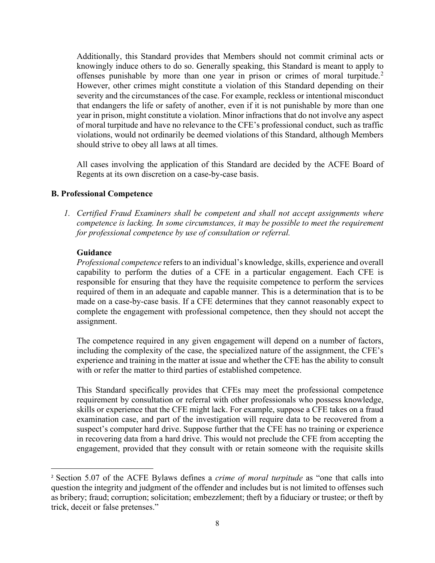Additionally, this Standard provides that Members should not commit criminal acts or knowingly induce others to do so. Generally speaking, this Standard is meant to apply to offenses punishable by more than one year in prison or crimes of moral turpitude.<sup>[2](#page-7-0)</sup> However, other crimes might constitute a violation of this Standard depending on their severity and the circumstances of the case. For example, reckless or intentional misconduct that endangers the life or safety of another, even if it is not punishable by more than one year in prison, might constitute a violation. Minor infractions that do not involve any aspect of moral turpitude and have no relevance to the CFE's professional conduct, such as traffic violations, would not ordinarily be deemed violations of this Standard, although Members should strive to obey all laws at all times.

All cases involving the application of this Standard are decided by the ACFE Board of Regents at its own discretion on a case-by-case basis.

### **B. Professional Competence**

*1. Certified Fraud Examiners shall be competent and shall not accept assignments where competence is lacking. In some circumstances, it may be possible to meet the requirement for professional competence by use of consultation or referral.*

### **Guidance**

*Professional competence* refers to an individual's knowledge, skills, experience and overall capability to perform the duties of a CFE in a particular engagement. Each CFE is responsible for ensuring that they have the requisite competence to perform the services required of them in an adequate and capable manner. This is a determination that is to be made on a case-by-case basis. If a CFE determines that they cannot reasonably expect to complete the engagement with professional competence, then they should not accept the assignment.

The competence required in any given engagement will depend on a number of factors, including the complexity of the case, the specialized nature of the assignment, the CFE's experience and training in the matter at issue and whether the CFE has the ability to consult with or refer the matter to third parties of established competence.

This Standard specifically provides that CFEs may meet the professional competence requirement by consultation or referral with other professionals who possess knowledge, skills or experience that the CFE might lack. For example, suppose a CFE takes on a fraud examination case, and part of the investigation will require data to be recovered from a suspect's computer hard drive. Suppose further that the CFE has no training or experience in recovering data from a hard drive. This would not preclude the CFE from accepting the engagement, provided that they consult with or retain someone with the requisite skills

<span id="page-7-0"></span><sup>2</sup> Section 5.07 of the ACFE Bylaws defines a *crime of moral turpitude* as "one that calls into question the integrity and judgment of the offender and includes but is not limited to offenses such as bribery; fraud; corruption; solicitation; embezzlement; theft by a fiduciary or trustee; or theft by trick, deceit or false pretenses."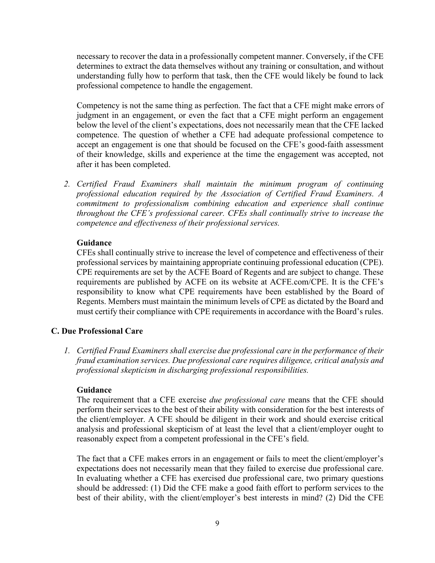necessary to recover the data in a professionally competent manner. Conversely, if the CFE determines to extract the data themselves without any training or consultation, and without understanding fully how to perform that task, then the CFE would likely be found to lack professional competence to handle the engagement.

Competency is not the same thing as perfection. The fact that a CFE might make errors of judgment in an engagement, or even the fact that a CFE might perform an engagement below the level of the client's expectations, does not necessarily mean that the CFE lacked competence. The question of whether a CFE had adequate professional competence to accept an engagement is one that should be focused on the CFE's good-faith assessment of their knowledge, skills and experience at the time the engagement was accepted, not after it has been completed.

*2. Certified Fraud Examiners shall maintain the minimum program of continuing professional education required by the Association of Certified Fraud Examiners. A commitment to professionalism combining education and experience shall continue throughout the CFE's professional career. CFEs shall continually strive to increase the competence and effectiveness of their professional services.*

#### **Guidance**

CFEs shall continually strive to increase the level of competence and effectiveness of their professional services by maintaining appropriate continuing professional education (CPE). CPE requirements are set by the ACFE Board of Regents and are subject to change. These requirements are published by ACFE on its website at ACFE.com/CPE. It is the CFE's responsibility to know what CPE requirements have been established by the Board of Regents. Members must maintain the minimum levels of CPE as dictated by the Board and must certify their compliance with CPE requirements in accordance with the Board's rules.

### **C. Due Professional Care**

*1. Certified Fraud Examiners shall exercise due professional care in the performance of their fraud examination services. Due professional care requires diligence, critical analysis and professional skepticism in discharging professional responsibilities.*

#### **Guidance**

The requirement that a CFE exercise *due professional care* means that the CFE should perform their services to the best of their ability with consideration for the best interests of the client/employer. A CFE should be diligent in their work and should exercise critical analysis and professional skepticism of at least the level that a client/employer ought to reasonably expect from a competent professional in the CFE's field.

The fact that a CFE makes errors in an engagement or fails to meet the client/employer's expectations does not necessarily mean that they failed to exercise due professional care. In evaluating whether a CFE has exercised due professional care, two primary questions should be addressed: (1) Did the CFE make a good faith effort to perform services to the best of their ability, with the client/employer's best interests in mind? (2) Did the CFE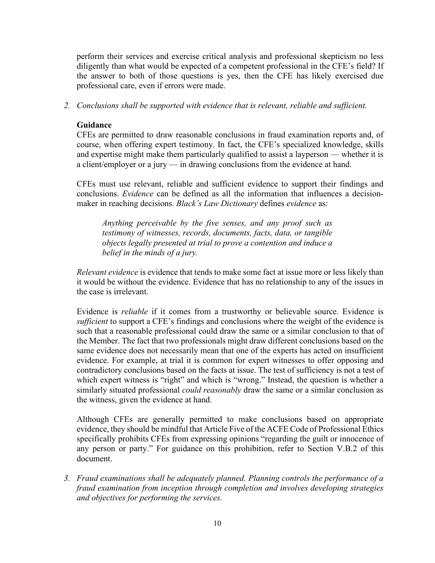perform their services and exercise critical analysis and professional skepticism no less diligently than what would be expected of a competent professional in the CFE's field? If the answer to both of those questions is yes, then the CFE has likely exercised due professional care, even if errors were made.

*2. Conclusions shall be supported with evidence that is relevant, reliable and sufficient.*

#### **Guidance**

CFEs are permitted to draw reasonable conclusions in fraud examination reports and, of course, when offering expert testimony. In fact, the CFE's specialized knowledge, skills and expertise might make them particularly qualified to assist a layperson — whether it is a client/employer or a jury — in drawing conclusions from the evidence at hand.

CFEs must use relevant, reliable and sufficient evidence to support their findings and conclusions. *Evidence* can be defined as all the information that influences a decisionmaker in reaching decisions. *Black's Law Dictionary* defines *evidence* as:

*Anything perceivable by the five senses, and any proof such as testimony of witnesses, records, documents, facts, data, or tangible objects legally presented at trial to prove a contention and induce a belief in the minds of a jury.*

*Relevant evidence* is evidence that tends to make some fact at issue more or less likely than it would be without the evidence. Evidence that has no relationship to any of the issues in the case is irrelevant.

Evidence is *reliable* if it comes from a trustworthy or believable source. Evidence is *sufficient* to support a CFE's findings and conclusions where the weight of the evidence is such that a reasonable professional could draw the same or a similar conclusion to that of the Member. The fact that two professionals might draw different conclusions based on the same evidence does not necessarily mean that one of the experts has acted on insufficient evidence. For example, at trial it is common for expert witnesses to offer opposing and contradictory conclusions based on the facts at issue. The test of sufficiency is not a test of which expert witness is "right" and which is "wrong." Instead, the question is whether a similarly situated professional *could reasonably* draw the same or a similar conclusion as the witness, given the evidence at hand.

Although CFEs are generally permitted to make conclusions based on appropriate evidence, they should be mindful that Article Five of the ACFE Code of Professional Ethics specifically prohibits CFEs from expressing opinions "regarding the guilt or innocence of any person or party." For guidance on this prohibition, refer to Section V.B.2 of this document.

*3. Fraud examinations shall be adequately planned. Planning controls the performance of a fraud examination from inception through completion and involves developing strategies and objectives for performing the services.*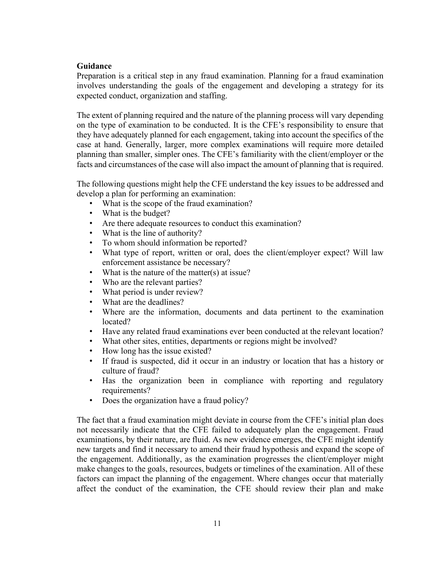### **Guidance**

Preparation is a critical step in any fraud examination. Planning for a fraud examination involves understanding the goals of the engagement and developing a strategy for its expected conduct, organization and staffing.

The extent of planning required and the nature of the planning process will vary depending on the type of examination to be conducted. It is the CFE's responsibility to ensure that they have adequately planned for each engagement, taking into account the specifics of the case at hand. Generally, larger, more complex examinations will require more detailed planning than smaller, simpler ones. The CFE's familiarity with the client/employer or the facts and circumstances of the case will also impact the amount of planning that is required.

The following questions might help the CFE understand the key issues to be addressed and develop a plan for performing an examination:

- What is the scope of the fraud examination?
- What is the budget?
- Are there adequate resources to conduct this examination?
- What is the line of authority?
- To whom should information be reported?
- What type of report, written or oral, does the client/employer expect? Will law enforcement assistance be necessary?
- What is the nature of the matter(s) at issue?
- Who are the relevant parties?
- What period is under review?
- What are the deadlines?
- Where are the information, documents and data pertinent to the examination located?
- Have any related fraud examinations ever been conducted at the relevant location?
- What other sites, entities, departments or regions might be involved?
- How long has the issue existed?
- If fraud is suspected, did it occur in an industry or location that has a history or culture of fraud?
- Has the organization been in compliance with reporting and regulatory requirements?
- Does the organization have a fraud policy?

The fact that a fraud examination might deviate in course from the CFE's initial plan does not necessarily indicate that the CFE failed to adequately plan the engagement. Fraud examinations, by their nature, are fluid. As new evidence emerges, the CFE might identify new targets and find it necessary to amend their fraud hypothesis and expand the scope of the engagement. Additionally, as the examination progresses the client/employer might make changes to the goals, resources, budgets or timelines of the examination. All of these factors can impact the planning of the engagement. Where changes occur that materially affect the conduct of the examination, the CFE should review their plan and make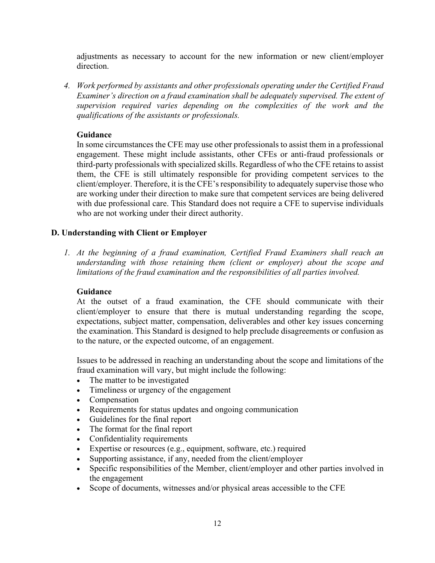adjustments as necessary to account for the new information or new client/employer direction.

*4. Work performed by assistants and other professionals operating under the Certified Fraud Examiner's direction on a fraud examination shall be adequately supervised. The extent of supervision required varies depending on the complexities of the work and the qualifications of the assistants or professionals.*

### **Guidance**

In some circumstances the CFE may use other professionals to assist them in a professional engagement. These might include assistants, other CFEs or anti-fraud professionals or third-party professionals with specialized skills. Regardless of who the CFE retains to assist them, the CFE is still ultimately responsible for providing competent services to the client/employer. Therefore, it is the CFE's responsibility to adequately supervise those who are working under their direction to make sure that competent services are being delivered with due professional care. This Standard does not require a CFE to supervise individuals who are not working under their direct authority.

### **D. Understanding with Client or Employer**

*1. At the beginning of a fraud examination, Certified Fraud Examiners shall reach an understanding with those retaining them (client or employer) about the scope and limitations of the fraud examination and the responsibilities of all parties involved.*

### **Guidance**

At the outset of a fraud examination, the CFE should communicate with their client/employer to ensure that there is mutual understanding regarding the scope, expectations, subject matter, compensation, deliverables and other key issues concerning the examination. This Standard is designed to help preclude disagreements or confusion as to the nature, or the expected outcome, of an engagement.

Issues to be addressed in reaching an understanding about the scope and limitations of the fraud examination will vary, but might include the following:

- The matter to be investigated
- Timeliness or urgency of the engagement
- Compensation
- Requirements for status updates and ongoing communication
- Guidelines for the final report
- The format for the final report
- Confidentiality requirements
- Expertise or resources (e.g., equipment, software, etc.) required
- Supporting assistance, if any, needed from the client/employer
- Specific responsibilities of the Member, client/employer and other parties involved in the engagement
- Scope of documents, witnesses and/or physical areas accessible to the CFE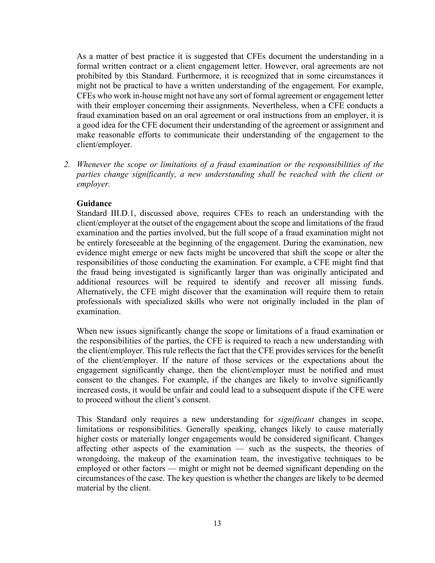As a matter of best practice it is suggested that CFEs document the understanding in a formal written contract or a client engagement letter. However, oral agreements are not prohibited by this Standard. Furthermore, it is recognized that in some circumstances it might not be practical to have a written understanding of the engagement. For example, CFEs who work in-house might not have any sort of formal agreement or engagement letter with their employer concerning their assignments. Nevertheless, when a CFE conducts a fraud examination based on an oral agreement or oral instructions from an employer, it is a good idea for the CFE document their understanding of the agreement or assignment and make reasonable efforts to communicate their understanding of the engagement to the client/employer.

*2. Whenever the scope or limitations of a fraud examination or the responsibilities of the parties change significantly, a new understanding shall be reached with the client or employer.*

### **Guidance**

Standard III.D.1, discussed above, requires CFEs to reach an understanding with the client/employer at the outset of the engagement about the scope and limitations of the fraud examination and the parties involved, but the full scope of a fraud examination might not be entirely foreseeable at the beginning of the engagement. During the examination, new evidence might emerge or new facts might be uncovered that shift the scope or alter the responsibilities of those conducting the examination. For example, a CFE might find that the fraud being investigated is significantly larger than was originally anticipated and additional resources will be required to identify and recover all missing funds. Alternatively, the CFE might discover that the examination will require them to retain professionals with specialized skills who were not originally included in the plan of examination.

When new issues significantly change the scope or limitations of a fraud examination or the responsibilities of the parties, the CFE is required to reach a new understanding with the client/employer. This rule reflects the fact that the CFE provides services for the benefit of the client/employer. If the nature of those services or the expectations about the engagement significantly change, then the client/employer must be notified and must consent to the changes. For example, if the changes are likely to involve significantly increased costs, it would be unfair and could lead to a subsequent dispute if the CFE were to proceed without the client's consent.

This Standard only requires a new understanding for *significant* changes in scope, limitations or responsibilities. Generally speaking, changes likely to cause materially higher costs or materially longer engagements would be considered significant. Changes affecting other aspects of the examination — such as the suspects, the theories of wrongdoing, the makeup of the examination team, the investigative techniques to be employed or other factors — might or might not be deemed significant depending on the circumstances of the case. The key question is whether the changes are likely to be deemed material by the client.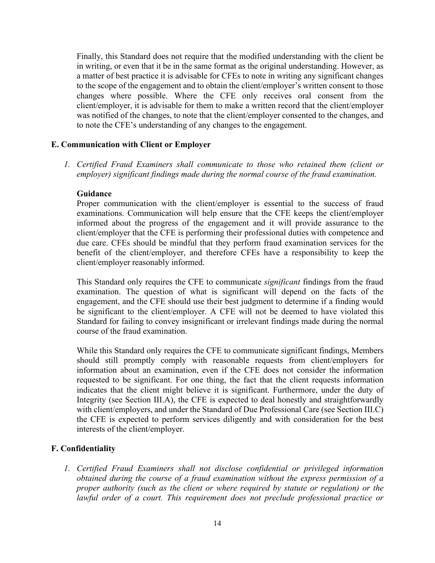Finally, this Standard does not require that the modified understanding with the client be in writing, or even that it be in the same format as the original understanding. However, as a matter of best practice it is advisable for CFEs to note in writing any significant changes to the scope of the engagement and to obtain the client/employer's written consent to those changes where possible. Where the CFE only receives oral consent from the client/employer, it is advisable for them to make a written record that the client/employer was notified of the changes, to note that the client/employer consented to the changes, and to note the CFE's understanding of any changes to the engagement.

### **E. Communication with Client or Employer**

*1. Certified Fraud Examiners shall communicate to those who retained them (client or employer) significant findings made during the normal course of the fraud examination.*

### **Guidance**

Proper communication with the client/employer is essential to the success of fraud examinations. Communication will help ensure that the CFE keeps the client/employer informed about the progress of the engagement and it will provide assurance to the client/employer that the CFE is performing their professional duties with competence and due care. CFEs should be mindful that they perform fraud examination services for the benefit of the client/employer, and therefore CFEs have a responsibility to keep the client/employer reasonably informed.

This Standard only requires the CFE to communicate *significant* findings from the fraud examination. The question of what is significant will depend on the facts of the engagement, and the CFE should use their best judgment to determine if a finding would be significant to the client/employer. A CFE will not be deemed to have violated this Standard for failing to convey insignificant or irrelevant findings made during the normal course of the fraud examination.

While this Standard only requires the CFE to communicate significant findings, Members should still promptly comply with reasonable requests from client/employers for information about an examination, even if the CFE does not consider the information requested to be significant. For one thing, the fact that the client requests information indicates that the client might believe it is significant. Furthermore, under the duty of Integrity (see Section III.A), the CFE is expected to deal honestly and straightforwardly with client/employers, and under the Standard of Due Professional Care (see Section III.C) the CFE is expected to perform services diligently and with consideration for the best interests of the client/employer.

# **F. Confidentiality**

*1. Certified Fraud Examiners shall not disclose confidential or privileged information obtained during the course of a fraud examination without the express permission of a proper authority (such as the client or where required by statute or regulation) or the lawful order of a court. This requirement does not preclude professional practice or*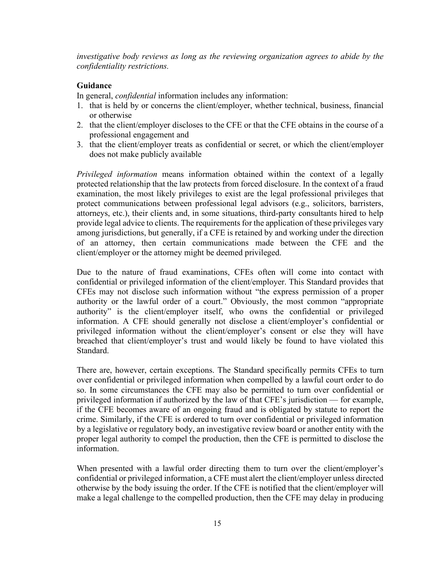*investigative body reviews as long as the reviewing organization agrees to abide by the confidentiality restrictions.*

## **Guidance**

In general, *confidential* information includes any information:

- 1. that is held by or concerns the client/employer, whether technical, business, financial or otherwise
- 2. that the client/employer discloses to the CFE or that the CFE obtains in the course of a professional engagement and
- 3. that the client/employer treats as confidential or secret, or which the client/employer does not make publicly available

*Privileged information* means information obtained within the context of a legally protected relationship that the law protects from forced disclosure. In the context of a fraud examination, the most likely privileges to exist are the legal professional privileges that protect communications between professional legal advisors (e.g., solicitors, barristers, attorneys, etc.), their clients and, in some situations, third-party consultants hired to help provide legal advice to clients. The requirements for the application of these privileges vary among jurisdictions, but generally, if a CFE is retained by and working under the direction of an attorney, then certain communications made between the CFE and the client/employer or the attorney might be deemed privileged.

Due to the nature of fraud examinations, CFEs often will come into contact with confidential or privileged information of the client/employer. This Standard provides that CFEs may not disclose such information without "the express permission of a proper authority or the lawful order of a court." Obviously, the most common "appropriate authority" is the client/employer itself, who owns the confidential or privileged information. A CFE should generally not disclose a client/employer's confidential or privileged information without the client/employer's consent or else they will have breached that client/employer's trust and would likely be found to have violated this Standard.

There are, however, certain exceptions. The Standard specifically permits CFEs to turn over confidential or privileged information when compelled by a lawful court order to do so. In some circumstances the CFE may also be permitted to turn over confidential or privileged information if authorized by the law of that CFE's jurisdiction — for example, if the CFE becomes aware of an ongoing fraud and is obligated by statute to report the crime. Similarly, if the CFE is ordered to turn over confidential or privileged information by a legislative or regulatory body, an investigative review board or another entity with the proper legal authority to compel the production, then the CFE is permitted to disclose the information.

When presented with a lawful order directing them to turn over the client/employer's confidential or privileged information, a CFE must alert the client/employer unless directed otherwise by the body issuing the order. If the CFE is notified that the client/employer will make a legal challenge to the compelled production, then the CFE may delay in producing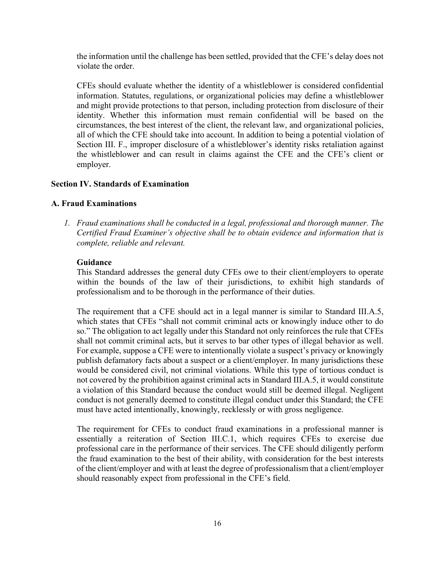the information until the challenge has been settled, provided that the CFE's delay does not violate the order.

CFEs should evaluate whether the identity of a whistleblower is considered confidential information. Statutes, regulations, or organizational policies may define a whistleblower and might provide protections to that person, including protection from disclosure of their identity. Whether this information must remain confidential will be based on the circumstances, the best interest of the client, the relevant law, and organizational policies, all of which the CFE should take into account. In addition to being a potential violation of Section III. F., improper disclosure of a whistleblower's identity risks retaliation against the whistleblower and can result in claims against the CFE and the CFE's client or employer.

### **Section IV. Standards of Examination**

### **A. Fraud Examinations**

*1. Fraud examinations shall be conducted in a legal, professional and thorough manner. The Certified Fraud Examiner's objective shall be to obtain evidence and information that is complete, reliable and relevant.* 

### **Guidance**

This Standard addresses the general duty CFEs owe to their client/employers to operate within the bounds of the law of their jurisdictions, to exhibit high standards of professionalism and to be thorough in the performance of their duties.

The requirement that a CFE should act in a legal manner is similar to Standard III.A.5, which states that CFEs "shall not commit criminal acts or knowingly induce other to do so." The obligation to act legally under this Standard not only reinforces the rule that CFEs shall not commit criminal acts, but it serves to bar other types of illegal behavior as well. For example, suppose a CFE were to intentionally violate a suspect's privacy or knowingly publish defamatory facts about a suspect or a client/employer. In many jurisdictions these would be considered civil, not criminal violations. While this type of tortious conduct is not covered by the prohibition against criminal acts in Standard III.A.5, it would constitute a violation of this Standard because the conduct would still be deemed illegal. Negligent conduct is not generally deemed to constitute illegal conduct under this Standard; the CFE must have acted intentionally, knowingly, recklessly or with gross negligence.

The requirement for CFEs to conduct fraud examinations in a professional manner is essentially a reiteration of Section III.C.1, which requires CFEs to exercise due professional care in the performance of their services. The CFE should diligently perform the fraud examination to the best of their ability, with consideration for the best interests of the client/employer and with at least the degree of professionalism that a client/employer should reasonably expect from professional in the CFE's field.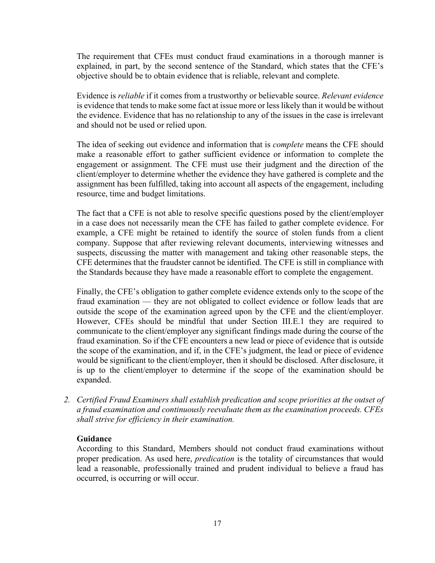The requirement that CFEs must conduct fraud examinations in a thorough manner is explained, in part, by the second sentence of the Standard, which states that the CFE's objective should be to obtain evidence that is reliable, relevant and complete.

Evidence is *reliable* if it comes from a trustworthy or believable source. *Relevant evidence*  is evidence that tends to make some fact at issue more or less likely than it would be without the evidence. Evidence that has no relationship to any of the issues in the case is irrelevant and should not be used or relied upon.

The idea of seeking out evidence and information that is *complete* means the CFE should make a reasonable effort to gather sufficient evidence or information to complete the engagement or assignment. The CFE must use their judgment and the direction of the client/employer to determine whether the evidence they have gathered is complete and the assignment has been fulfilled, taking into account all aspects of the engagement, including resource, time and budget limitations.

The fact that a CFE is not able to resolve specific questions posed by the client/employer in a case does not necessarily mean the CFE has failed to gather complete evidence. For example, a CFE might be retained to identify the source of stolen funds from a client company. Suppose that after reviewing relevant documents, interviewing witnesses and suspects, discussing the matter with management and taking other reasonable steps, the CFE determines that the fraudster cannot be identified. The CFE is still in compliance with the Standards because they have made a reasonable effort to complete the engagement.

Finally, the CFE's obligation to gather complete evidence extends only to the scope of the fraud examination — they are not obligated to collect evidence or follow leads that are outside the scope of the examination agreed upon by the CFE and the client/employer. However, CFEs should be mindful that under Section III.E.1 they are required to communicate to the client/employer any significant findings made during the course of the fraud examination. So if the CFE encounters a new lead or piece of evidence that is outside the scope of the examination, and if, in the CFE's judgment, the lead or piece of evidence would be significant to the client/employer, then it should be disclosed. After disclosure, it is up to the client/employer to determine if the scope of the examination should be expanded.

*2. Certified Fraud Examiners shall establish predication and scope priorities at the outset of a fraud examination and continuously reevaluate them as the examination proceeds. CFEs shall strive for efficiency in their examination.* 

### **Guidance**

According to this Standard, Members should not conduct fraud examinations without proper predication. As used here, *predication* is the totality of circumstances that would lead a reasonable, professionally trained and prudent individual to believe a fraud has occurred, is occurring or will occur.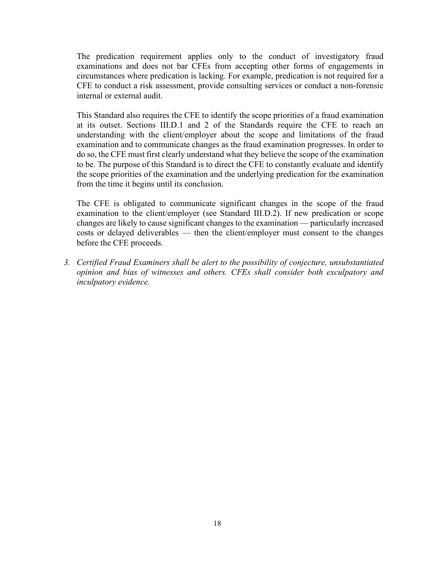The predication requirement applies only to the conduct of investigatory fraud examinations and does not bar CFEs from accepting other forms of engagements in circumstances where predication is lacking. For example, predication is not required for a CFE to conduct a risk assessment, provide consulting services or conduct a non-forensic internal or external audit.

This Standard also requires the CFE to identify the scope priorities of a fraud examination at its outset. Sections III.D.1 and 2 of the Standards require the CFE to reach an understanding with the client/employer about the scope and limitations of the fraud examination and to communicate changes as the fraud examination progresses. In order to do so, the CFE must first clearly understand what they believe the scope of the examination to be. The purpose of this Standard is to direct the CFE to constantly evaluate and identify the scope priorities of the examination and the underlying predication for the examination from the time it begins until its conclusion.

The CFE is obligated to communicate significant changes in the scope of the fraud examination to the client/employer (see Standard III.D.2). If new predication or scope changes are likely to cause significant changes to the examination — particularly increased costs or delayed deliverables — then the client/employer must consent to the changes before the CFE proceeds.

*3. Certified Fraud Examiners shall be alert to the possibility of conjecture, unsubstantiated opinion and bias of witnesses and others. CFEs shall consider both exculpatory and inculpatory evidence.*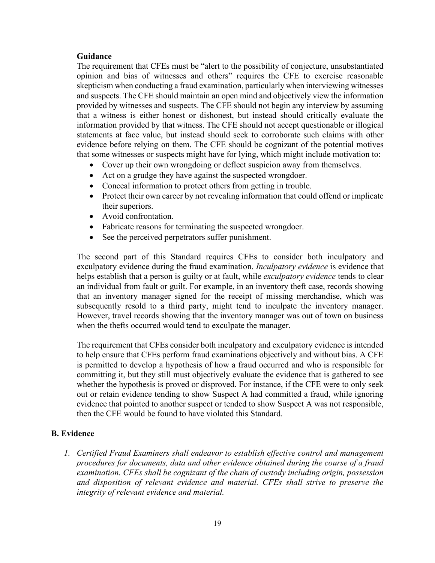### **Guidance**

The requirement that CFEs must be "alert to the possibility of conjecture, unsubstantiated opinion and bias of witnesses and others" requires the CFE to exercise reasonable skepticism when conducting a fraud examination, particularly when interviewing witnesses and suspects. The CFE should maintain an open mind and objectively view the information provided by witnesses and suspects. The CFE should not begin any interview by assuming that a witness is either honest or dishonest, but instead should critically evaluate the information provided by that witness. The CFE should not accept questionable or illogical statements at face value, but instead should seek to corroborate such claims with other evidence before relying on them. The CFE should be cognizant of the potential motives that some witnesses or suspects might have for lying, which might include motivation to:

- Cover up their own wrongdoing or deflect suspicion away from themselves.
- Act on a grudge they have against the suspected wrongdoer.
- Conceal information to protect others from getting in trouble.
- Protect their own career by not revealing information that could offend or implicate their superiors.
- Avoid confrontation.
- Fabricate reasons for terminating the suspected wrongdoer.
- See the perceived perpetrators suffer punishment.

The second part of this Standard requires CFEs to consider both inculpatory and exculpatory evidence during the fraud examination. *Inculpatory evidence* is evidence that helps establish that a person is guilty or at fault, while *exculpatory evidence* tends to clear an individual from fault or guilt. For example, in an inventory theft case, records showing that an inventory manager signed for the receipt of missing merchandise, which was subsequently resold to a third party, might tend to inculpate the inventory manager. However, travel records showing that the inventory manager was out of town on business when the thefts occurred would tend to exculpate the manager.

The requirement that CFEs consider both inculpatory and exculpatory evidence is intended to help ensure that CFEs perform fraud examinations objectively and without bias. A CFE is permitted to develop a hypothesis of how a fraud occurred and who is responsible for committing it, but they still must objectively evaluate the evidence that is gathered to see whether the hypothesis is proved or disproved. For instance, if the CFE were to only seek out or retain evidence tending to show Suspect A had committed a fraud, while ignoring evidence that pointed to another suspect or tended to show Suspect A was not responsible, then the CFE would be found to have violated this Standard.

### **B. Evidence**

*1. Certified Fraud Examiners shall endeavor to establish effective control and management procedures for documents, data and other evidence obtained during the course of a fraud examination. CFEs shall be cognizant of the chain of custody including origin, possession and disposition of relevant evidence and material. CFEs shall strive to preserve the integrity of relevant evidence and material.*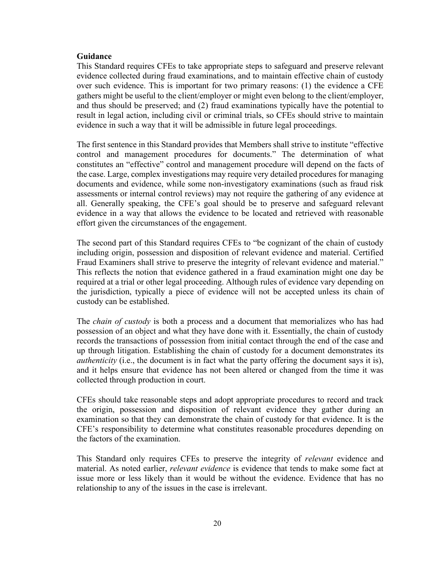#### **Guidance**

This Standard requires CFEs to take appropriate steps to safeguard and preserve relevant evidence collected during fraud examinations, and to maintain effective chain of custody over such evidence. This is important for two primary reasons: (1) the evidence a CFE gathers might be useful to the client/employer or might even belong to the client/employer, and thus should be preserved; and (2) fraud examinations typically have the potential to result in legal action, including civil or criminal trials, so CFEs should strive to maintain evidence in such a way that it will be admissible in future legal proceedings.

The first sentence in this Standard provides that Members shall strive to institute "effective control and management procedures for documents." The determination of what constitutes an "effective" control and management procedure will depend on the facts of the case. Large, complex investigations may require very detailed procedures for managing documents and evidence, while some non-investigatory examinations (such as fraud risk assessments or internal control reviews) may not require the gathering of any evidence at all. Generally speaking, the CFE's goal should be to preserve and safeguard relevant evidence in a way that allows the evidence to be located and retrieved with reasonable effort given the circumstances of the engagement.

The second part of this Standard requires CFEs to "be cognizant of the chain of custody including origin, possession and disposition of relevant evidence and material. Certified Fraud Examiners shall strive to preserve the integrity of relevant evidence and material." This reflects the notion that evidence gathered in a fraud examination might one day be required at a trial or other legal proceeding. Although rules of evidence vary depending on the jurisdiction, typically a piece of evidence will not be accepted unless its chain of custody can be established.

The *chain of custody* is both a process and a document that memorializes who has had possession of an object and what they have done with it. Essentially, the chain of custody records the transactions of possession from initial contact through the end of the case and up through litigation. Establishing the chain of custody for a document demonstrates its *authenticity* (i.e., the document is in fact what the party offering the document says it is), and it helps ensure that evidence has not been altered or changed from the time it was collected through production in court.

CFEs should take reasonable steps and adopt appropriate procedures to record and track the origin, possession and disposition of relevant evidence they gather during an examination so that they can demonstrate the chain of custody for that evidence. It is the CFE's responsibility to determine what constitutes reasonable procedures depending on the factors of the examination.

This Standard only requires CFEs to preserve the integrity of *relevant* evidence and material. As noted earlier, *relevant evidence* is evidence that tends to make some fact at issue more or less likely than it would be without the evidence. Evidence that has no relationship to any of the issues in the case is irrelevant.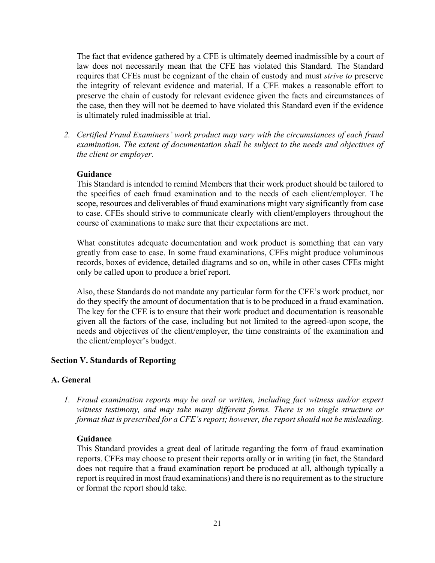The fact that evidence gathered by a CFE is ultimately deemed inadmissible by a court of law does not necessarily mean that the CFE has violated this Standard. The Standard requires that CFEs must be cognizant of the chain of custody and must *strive to* preserve the integrity of relevant evidence and material. If a CFE makes a reasonable effort to preserve the chain of custody for relevant evidence given the facts and circumstances of the case, then they will not be deemed to have violated this Standard even if the evidence is ultimately ruled inadmissible at trial.

*2. Certified Fraud Examiners' work product may vary with the circumstances of each fraud examination. The extent of documentation shall be subject to the needs and objectives of the client or employer.*

### **Guidance**

This Standard is intended to remind Members that their work product should be tailored to the specifics of each fraud examination and to the needs of each client/employer. The scope, resources and deliverables of fraud examinations might vary significantly from case to case. CFEs should strive to communicate clearly with client/employers throughout the course of examinations to make sure that their expectations are met.

What constitutes adequate documentation and work product is something that can vary greatly from case to case. In some fraud examinations, CFEs might produce voluminous records, boxes of evidence, detailed diagrams and so on, while in other cases CFEs might only be called upon to produce a brief report.

Also, these Standards do not mandate any particular form for the CFE's work product, nor do they specify the amount of documentation that is to be produced in a fraud examination. The key for the CFE is to ensure that their work product and documentation is reasonable given all the factors of the case, including but not limited to the agreed-upon scope, the needs and objectives of the client/employer, the time constraints of the examination and the client/employer's budget.

#### **Section V. Standards of Reporting**

#### **A. General**

*1. Fraud examination reports may be oral or written, including fact witness and/or expert witness testimony, and may take many different forms. There is no single structure or format that is prescribed for a CFE's report; however, the report should not be misleading.*

#### **Guidance**

This Standard provides a great deal of latitude regarding the form of fraud examination reports. CFEs may choose to present their reports orally or in writing (in fact, the Standard does not require that a fraud examination report be produced at all, although typically a report is required in most fraud examinations) and there is no requirement as to the structure or format the report should take.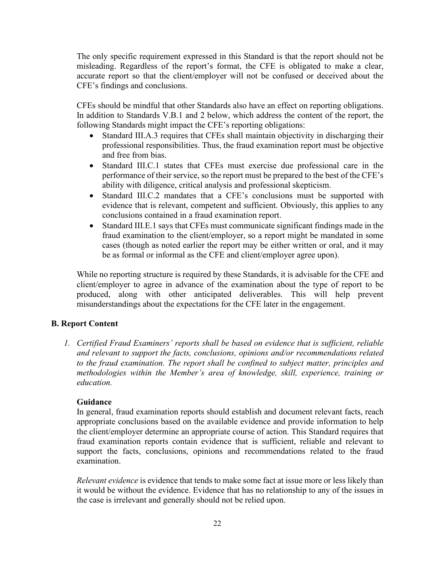The only specific requirement expressed in this Standard is that the report should not be misleading. Regardless of the report's format, the CFE is obligated to make a clear, accurate report so that the client/employer will not be confused or deceived about the CFE's findings and conclusions.

CFEs should be mindful that other Standards also have an effect on reporting obligations. In addition to Standards V.B.1 and 2 below, which address the content of the report, the following Standards might impact the CFE's reporting obligations:

- Standard III.A.3 requires that CFEs shall maintain objectivity in discharging their professional responsibilities. Thus, the fraud examination report must be objective and free from bias.
- Standard III.C.1 states that CFEs must exercise due professional care in the performance of their service, so the report must be prepared to the best of the CFE's ability with diligence, critical analysis and professional skepticism.
- Standard III.C.2 mandates that a CFE's conclusions must be supported with evidence that is relevant, competent and sufficient. Obviously, this applies to any conclusions contained in a fraud examination report.
- Standard III.E.1 says that CFEs must communicate significant findings made in the fraud examination to the client/employer, so a report might be mandated in some cases (though as noted earlier the report may be either written or oral, and it may be as formal or informal as the CFE and client/employer agree upon).

While no reporting structure is required by these Standards, it is advisable for the CFE and client/employer to agree in advance of the examination about the type of report to be produced, along with other anticipated deliverables. This will help prevent misunderstandings about the expectations for the CFE later in the engagement.

# **B. Report Content**

*1. Certified Fraud Examiners' reports shall be based on evidence that is sufficient, reliable and relevant to support the facts, conclusions, opinions and/or recommendations related to the fraud examination. The report shall be confined to subject matter, principles and methodologies within the Member's area of knowledge, skill, experience, training or education.*

### **Guidance**

In general, fraud examination reports should establish and document relevant facts, reach appropriate conclusions based on the available evidence and provide information to help the client/employer determine an appropriate course of action. This Standard requires that fraud examination reports contain evidence that is sufficient, reliable and relevant to support the facts, conclusions, opinions and recommendations related to the fraud examination.

*Relevant evidence* is evidence that tends to make some fact at issue more or less likely than it would be without the evidence. Evidence that has no relationship to any of the issues in the case is irrelevant and generally should not be relied upon.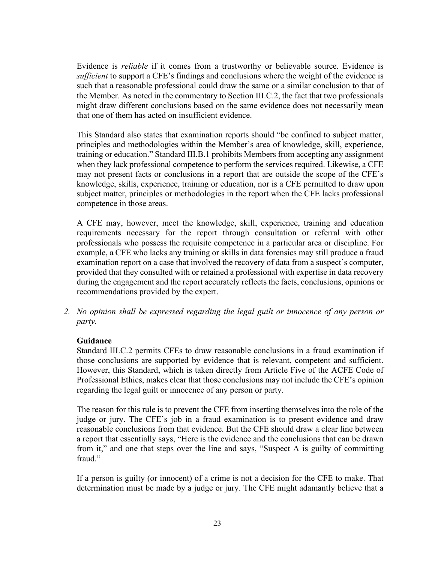Evidence is *reliable* if it comes from a trustworthy or believable source. Evidence is *sufficient* to support a CFE's findings and conclusions where the weight of the evidence is such that a reasonable professional could draw the same or a similar conclusion to that of the Member. As noted in the commentary to Section III.C.2, the fact that two professionals might draw different conclusions based on the same evidence does not necessarily mean that one of them has acted on insufficient evidence.

This Standard also states that examination reports should "be confined to subject matter, principles and methodologies within the Member's area of knowledge, skill, experience, training or education." Standard III.B.1 prohibits Members from accepting any assignment when they lack professional competence to perform the services required. Likewise, a CFE may not present facts or conclusions in a report that are outside the scope of the CFE's knowledge, skills, experience, training or education, nor is a CFE permitted to draw upon subject matter, principles or methodologies in the report when the CFE lacks professional competence in those areas.

A CFE may, however, meet the knowledge, skill, experience, training and education requirements necessary for the report through consultation or referral with other professionals who possess the requisite competence in a particular area or discipline. For example, a CFE who lacks any training or skills in data forensics may still produce a fraud examination report on a case that involved the recovery of data from a suspect's computer, provided that they consulted with or retained a professional with expertise in data recovery during the engagement and the report accurately reflects the facts, conclusions, opinions or recommendations provided by the expert.

*2. No opinion shall be expressed regarding the legal guilt or innocence of any person or party.*

### **Guidance**

Standard III.C.2 permits CFEs to draw reasonable conclusions in a fraud examination if those conclusions are supported by evidence that is relevant, competent and sufficient. However, this Standard, which is taken directly from Article Five of the ACFE Code of Professional Ethics, makes clear that those conclusions may not include the CFE's opinion regarding the legal guilt or innocence of any person or party.

The reason for this rule is to prevent the CFE from inserting themselves into the role of the judge or jury. The CFE's job in a fraud examination is to present evidence and draw reasonable conclusions from that evidence. But the CFE should draw a clear line between a report that essentially says, "Here is the evidence and the conclusions that can be drawn from it," and one that steps over the line and says, "Suspect A is guilty of committing fraud."

If a person is guilty (or innocent) of a crime is not a decision for the CFE to make. That determination must be made by a judge or jury. The CFE might adamantly believe that a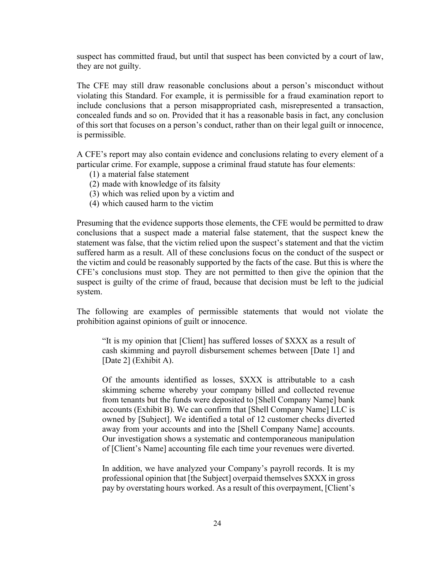suspect has committed fraud, but until that suspect has been convicted by a court of law, they are not guilty.

The CFE may still draw reasonable conclusions about a person's misconduct without violating this Standard. For example, it is permissible for a fraud examination report to include conclusions that a person misappropriated cash, misrepresented a transaction, concealed funds and so on. Provided that it has a reasonable basis in fact, any conclusion of this sort that focuses on a person's conduct, rather than on their legal guilt or innocence, is permissible.

A CFE's report may also contain evidence and conclusions relating to every element of a particular crime. For example, suppose a criminal fraud statute has four elements:

- (1) a material false statement
- (2) made with knowledge of its falsity
- (3) which was relied upon by a victim and
- (4) which caused harm to the victim

Presuming that the evidence supports those elements, the CFE would be permitted to draw conclusions that a suspect made a material false statement, that the suspect knew the statement was false, that the victim relied upon the suspect's statement and that the victim suffered harm as a result. All of these conclusions focus on the conduct of the suspect or the victim and could be reasonably supported by the facts of the case. But this is where the CFE's conclusions must stop. They are not permitted to then give the opinion that the suspect is guilty of the crime of fraud, because that decision must be left to the judicial system.

The following are examples of permissible statements that would not violate the prohibition against opinions of guilt or innocence.

"It is my opinion that [Client] has suffered losses of \$XXX as a result of cash skimming and payroll disbursement schemes between [Date 1] and [Date 2] (Exhibit A).

Of the amounts identified as losses, \$XXX is attributable to a cash skimming scheme whereby your company billed and collected revenue from tenants but the funds were deposited to [Shell Company Name] bank accounts (Exhibit B). We can confirm that [Shell Company Name] LLC is owned by [Subject]. We identified a total of 12 customer checks diverted away from your accounts and into the [Shell Company Name] accounts. Our investigation shows a systematic and contemporaneous manipulation of [Client's Name] accounting file each time your revenues were diverted.

In addition, we have analyzed your Company's payroll records. It is my professional opinion that [the Subject] overpaid themselves \$XXX in gross pay by overstating hours worked. As a result of this overpayment, [Client's